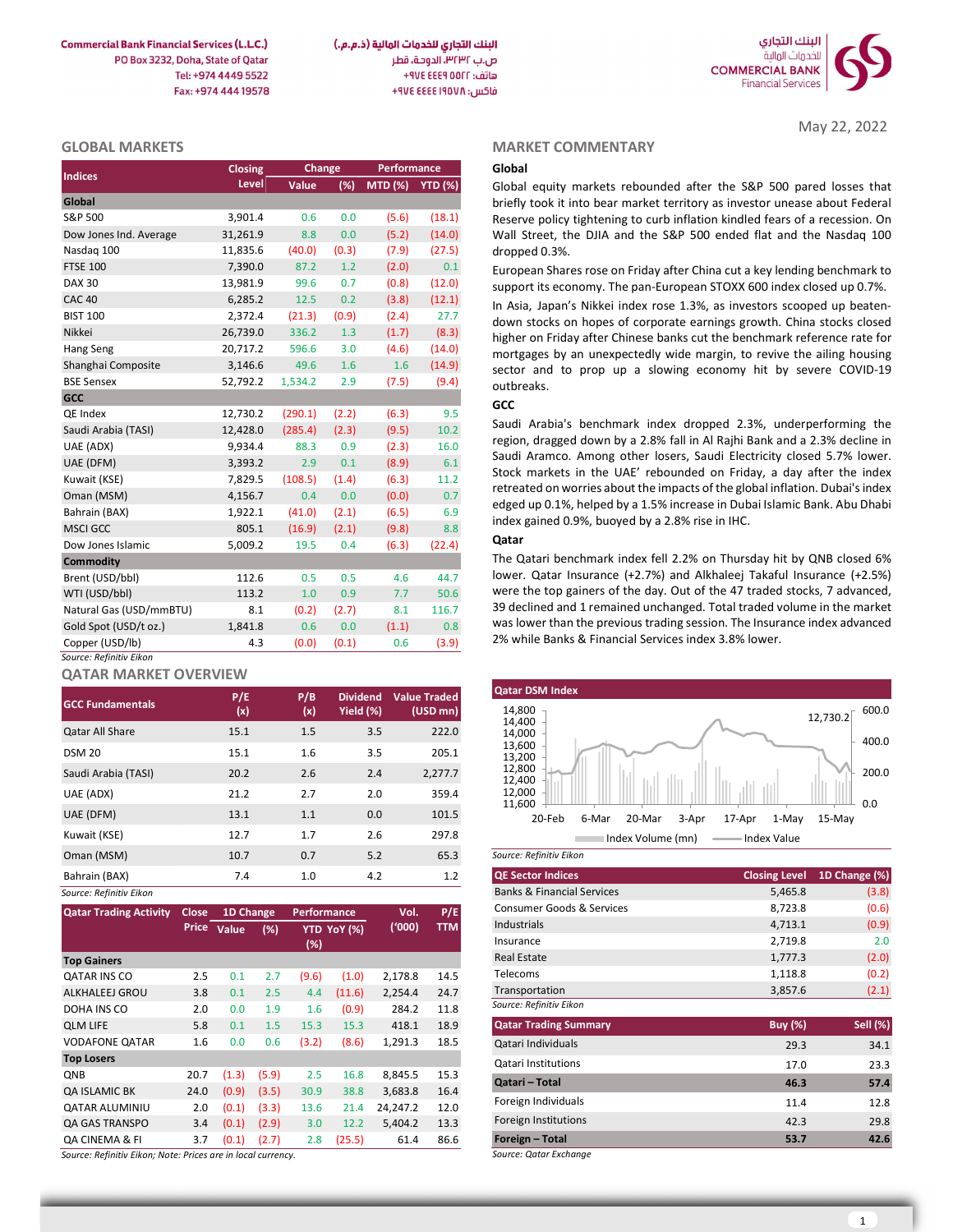**Commercial Bank Financial Services (L.L.C.)** PO Box 3232, Doha, State of Qatar Tel: +974 4449 5522 Fax: +974 444 19578



#### GLOBAL MARKETS

| <b>Indices</b>          | Closing  | Change  |       | Performance     |        |
|-------------------------|----------|---------|-------|-----------------|--------|
|                         | Level    | Value   | (%)   | MTD (%) YTD (%) |        |
| Global                  |          |         |       |                 |        |
| S&P 500                 | 3,901.4  | 0.6     | 0.0   | (5.6)           | (18.1) |
| Dow Jones Ind. Average  | 31,261.9 | 8.8     | 0.0   | (5.2)           | (14.0) |
| Nasdag 100              | 11,835.6 | (40.0)  | (0.3) | (7.9)           | (27.5) |
| <b>FTSE 100</b>         | 7,390.0  | 87.2    | 1.2   | (2.0)           | 0.1    |
| <b>DAX 30</b>           | 13,981.9 | 99.6    | 0.7   | (0.8)           | (12.0) |
| <b>CAC 40</b>           | 6,285.2  | 12.5    | 0.2   | (3.8)           | (12.1) |
| <b>BIST 100</b>         | 2,372.4  | (21.3)  | (0.9) | (2.4)           | 27.7   |
| Nikkei                  | 26,739.0 | 336.2   | 1.3   | (1.7)           | (8.3)  |
| Hang Seng               | 20,717.2 | 596.6   | 3.0   | (4.6)           | (14.0) |
| Shanghai Composite      | 3,146.6  | 49.6    | 1.6   | 1.6             | (14.9) |
| <b>BSE Sensex</b>       | 52,792.2 | 1,534.2 | 2.9   | (7.5)           | (9.4)  |
| <b>GCC</b>              |          |         |       |                 |        |
| QE Index                | 12,730.2 | (290.1) | (2.2) | (6.3)           | 9.5    |
| Saudi Arabia (TASI)     | 12,428.0 | (285.4) | (2.3) | (9.5)           | 10.2   |
| UAE (ADX)               | 9,934.4  | 88.3    | 0.9   | (2.3)           | 16.0   |
| UAE (DFM)               | 3,393.2  | 2.9     | 0.1   | (8.9)           | 6.1    |
| Kuwait (KSE)            | 7,829.5  | (108.5) | (1.4) | (6.3)           | 11.2   |
| Oman (MSM)              | 4,156.7  | 0.4     | 0.0   | (0.0)           | 0.7    |
| Bahrain (BAX)           | 1,922.1  | (41.0)  | (2.1) | (6.5)           | 6.9    |
| <b>MSCI GCC</b>         | 805.1    | (16.9)  | (2.1) | (9.8)           | 8.8    |
| Dow Jones Islamic       | 5,009.2  | 19.5    | 0.4   | (6.3)           | (22.4) |
| <b>Commodity</b>        |          |         |       |                 |        |
| Brent (USD/bbl)         | 112.6    | 0.5     | 0.5   | 4.6             | 44.7   |
| WTI (USD/bbl)           | 113.2    | 1.0     | 0.9   | 7.7             | 50.6   |
| Natural Gas (USD/mmBTU) | 8.1      | (0.2)   | (2.7) | 8.1             | 116.7  |
| Gold Spot (USD/t oz.)   | 1,841.8  | 0.6     | 0.0   | (1.1)           | 0.8    |
| Copper (USD/lb)         | 4.3      | (0.0)   | (0.1) | 0.6             | (3.9)  |
| Source: Refinitiv Eikon |          |         |       |                 |        |

### QATAR MARKET OVERVIEW

| <b>GCC Fundamentals</b> | P/E<br>(x) | P/B<br>(x) | <b>Dividend</b><br>Yield (%) | <b>Value Traded</b><br>$(USD \, mn)$ | <b>Qatar DSM Index</b><br>14,800<br>12,730.2          |
|-------------------------|------------|------------|------------------------------|--------------------------------------|-------------------------------------------------------|
| <b>Qatar All Share</b>  | 15.1       | 1.5        | 3.5                          | 222.0                                | 14,400<br>14,000                                      |
| <b>DSM 20</b>           | 15.1       | $1.6\,$    | 3.5                          | 205.1                                | 13,600<br>13,200                                      |
| Saudi Arabia (TASI)     | 20.2       | 2.6        | 2.4                          | 2,277.7                              | 12,800<br>12,400                                      |
| UAE (ADX)               | 21.2       | 2.7        | 2.0                          | 359.4                                | 12,000<br>11,600                                      |
| UAE (DFM)               | 13.1       | 1.1        | 0.0                          | 101.5                                | 20-Feb<br>3-Apr<br>17-Apr<br>6-Mar<br>20-Mar<br>1-May |
| Kuwait (KSE)            | 12.7       | 1.7        | 2.6                          | 297.8                                | Index Volume (mn)<br>Index Value                      |
| Oman (MSM)              | 10.7       | 0.7        | 5.2                          | 65.3                                 | Source: Refinitiv Eikon                               |
| Bahrain (BAX)           | 7.4        | 1.0        | 4.2                          | 1.2                                  | <b>QE Sector Indices</b><br><b>Closing Level</b>      |
| Source: Refinitiv Fikon |            |            |                              |                                      | 5.465.8<br><b>Banks &amp; Financial Services</b>      |

| <b>Qatar Trading Activity</b>                                   | Close | 1D Change   |       | <b>Performance</b> |             | Vol.     | P/E        |
|-----------------------------------------------------------------|-------|-------------|-------|--------------------|-------------|----------|------------|
|                                                                 |       | Price Value | (%)   |                    | YTD YoY (%) | (000)    | <b>TTM</b> |
|                                                                 |       |             |       | $(\%)$             |             |          |            |
| <b>Top Gainers</b>                                              |       |             |       |                    |             |          |            |
| <b>QATAR INS CO</b>                                             | 2.5   | 0.1         | 2.7   | (9.6)              | (1.0)       | 2,178.8  | 14.5       |
| ALKHALEEJ GROU                                                  | 3.8   | 0.1         | 2.5   | 4.4                | (11.6)      | 2,254.4  | 24.7       |
| DOHA INS CO                                                     | 2.0   | 0.0         | 1.9   | 1.6                | (0.9)       | 284.2    | 11.8       |
| <b>QLM LIFE</b>                                                 | 5.8   | 0.1         | 1.5   | 15.3               | 15.3        | 418.1    | 18.9       |
| <b>VODAFONE QATAR</b>                                           | 1.6   | 0.0         | 0.6   | (3.2)              | (8.6)       | 1,291.3  | 18.5       |
| <b>Top Losers</b>                                               |       |             |       |                    |             |          |            |
| <b>ONB</b>                                                      | 20.7  | (1.3)       | (5.9) | 2.5                | 16.8        | 8,845.5  | 15.3       |
| QA ISLAMIC BK                                                   | 24.0  | (0.9)       | (3.5) | 30.9               | 38.8        | 3,683.8  | 16.4       |
| <b>QATAR ALUMINIU</b>                                           | 2.0   | (0.1)       | (3.3) | 13.6               | 21.4        | 24,247.2 | 12.0       |
| <b>QA GAS TRANSPO</b>                                           | 3.4   | (0.1)       | (2.9) | 3.0                | 12.2        | 5.404.2  | 13.3       |
| <b>QA CINEMA &amp; FI</b>                                       | 3.7   | (0.1)       | (2.7) | 2.8                | (25.5)      | 61.4     | 86.6       |
| Carrosa, Dafiaith, Filippi, Nator Delgas pea in Iagel arrespons |       |             |       |                    |             |          |            |

Refinitiv Eikon; Note: Prices are in local currency.

#### MARKET COMMENTARY

May 22, 2022

### GCC

### Qatar



| 7.4       |       | 1.0         |             | 4.2      | 1.2        | <b>QE Sector Indices</b>              | <b>Closing Level</b> | 1D Change (%)   |
|-----------|-------|-------------|-------------|----------|------------|---------------------------------------|----------------------|-----------------|
|           |       |             |             |          |            | <b>Banks &amp; Financial Services</b> | 5,465.8              | (3.8)           |
| 1D Change |       | Performance |             | Vol.     | P/E        | Consumer Goods & Services             | 8,723.8              | (0.6)           |
| Value     | (%)   |             | YTD YoY (%) | ('000)   | <b>TTM</b> | Industrials                           | 4,713.1              | (0.9)           |
|           |       | (%)         |             |          |            | Insurance                             | 2,719.8              | 2.0             |
|           |       |             |             |          |            | <b>Real Estate</b>                    | 1,777.3              | (2.0)           |
| 0.1       | 2.7   | (9.6)       | (1.0)       | 2,178.8  | 14.5       | Telecoms                              | 1,118.8              | (0.2)           |
| 0.1       | 2.5   | 4.4         | (11.6)      | 2,254.4  | 24.7       | Transportation                        | 3,857.6              | (2.1)           |
| 0.0       | 1.9   | 1.6         | (0.9)       | 284.2    | 11.8       | Source: Refinitiv Eikon               |                      |                 |
| 0.1       | 1.5   | 15.3        | 15.3        | 418.1    | 18.9       | <b>Qatar Trading Summary</b>          | <b>Buy</b> (%)       | <b>Sell</b> (%) |
| 0.0       | 0.6   | (3.2)       | (8.6)       | 1,291.3  | 18.5       | Qatari Individuals                    | 29.3                 | 34.1            |
|           |       |             |             |          |            | Qatari Institutions                   | 17.0                 | 23.3            |
| (1.3)     | (5.9) | 2.5         | 16.8        | 8,845.5  | 15.3       | Qatari - Total                        | 46.3                 | 57.4            |
| (0.9)     | (3.5) | 30.9        | 38.8        | 3,683.8  | 16.4       |                                       |                      |                 |
| (0.1)     | (3.3) | 13.6        | 21.4        | 24,247.2 | 12.0       | Foreign Individuals                   | 11.4                 | 12.8            |
| (0.1)     | (2.9) | 3.0         | 12.2        | 5,404.2  | 13.3       | Foreign Institutions                  | 42.3                 | 29.8            |
| (0.1)     | (2.7) | 2.8         | (25.5)      | 61.4     | 86.6       | Foreign - Total                       | 53.7                 | 42.6            |

Source: Qatar Exchange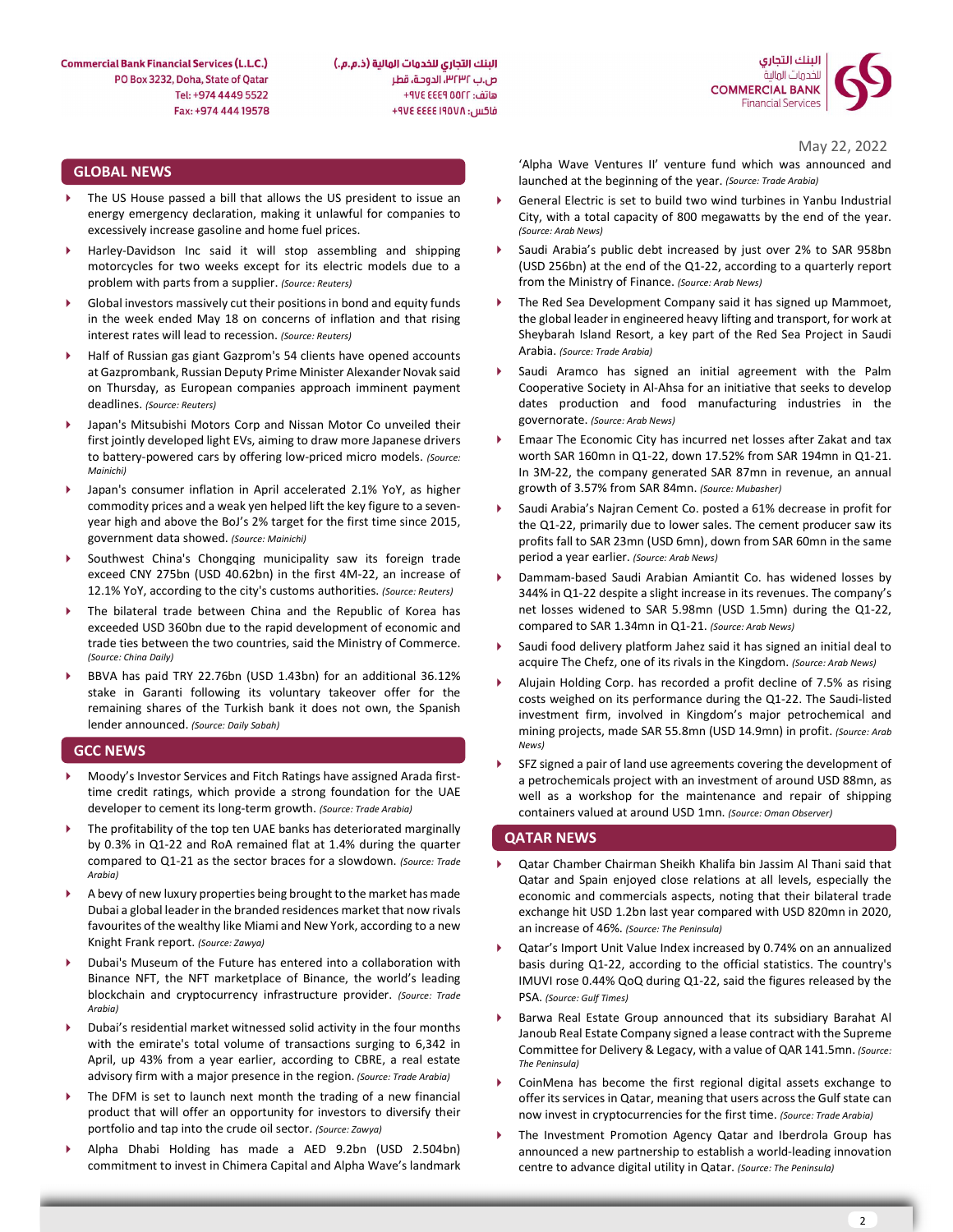

البنك التجاري للخدمات المالية (ذ.م.م.) ص.ب ٣٢٣٢، الدوحة، قطر هاتف: AVE EEE 9 00FF+ فاكس: ٩٧٤ ٤٤٤٤ ٤٧٤ +

#### GLOBAL NEWS

- The US House passed a bill that allows the US president to issue an energy emergency declaration, making it unlawful for companies to excessively increase gasoline and home fuel prices.
- Harley-Davidson Inc said it will stop assembling and shipping motorcycles for two weeks except for its electric models due to a problem with parts from a supplier. (Source: Reuters)
- Global investors massively cut their positions in bond and equity funds in the week ended May 18 on concerns of inflation and that rising interest rates will lead to recession. (Source: Reuters)
- Half of Russian gas giant Gazprom's 54 clients have opened accounts at Gazprombank, Russian Deputy Prime Minister Alexander Novak said on Thursday, as European companies approach imminent payment deadlines. (Source: Reuters)
- Japan's Mitsubishi Motors Corp and Nissan Motor Co unveiled their first jointly developed light EVs, aiming to draw more Japanese drivers  $\rightarrow$ to battery-powered cars by offering low-priced micro models. (Source: Mainichi)
- Japan's consumer inflation in April accelerated 2.1% YoY, as higher commodity prices and a weak yen helped lift the key figure to a sevenyear high and above the BoJ's 2% target for the first time since 2015, government data showed. (Source: Mainichi)
- Southwest China's Chongqing municipality saw its foreign trade exceed CNY 275bn (USD 40.62bn) in the first 4M-22, an increase of 12.1% YoY, according to the city's customs authorities. (Source: Reuters)
- The bilateral trade between China and the Republic of Korea has exceeded USD 360bn due to the rapid development of economic and trade ties between the two countries, said the Ministry of Commerce. (Source: China Daily)
- BBVA has paid TRY 22.76bn (USD 1.43bn) for an additional 36.12% stake in Garanti following its voluntary takeover offer for the remaining shares of the Turkish bank it does not own, the Spanish lender announced. (Source: Daily Sabah)

#### GCC NEWS

- Moody's Investor Services and Fitch Ratings have assigned Arada firsttime credit ratings, which provide a strong foundation for the UAE developer to cement its long-term growth. (Source: Trade Arabia)
- The profitability of the top ten UAE banks has deteriorated marginally by 0.3% in Q1-22 and RoA remained flat at 1.4% during the quarter compared to Q1-21 as the sector braces for a slowdown. (Source: Trade  $\longrightarrow$ Arabia)
- A bevy of new luxury properties being brought to the market has made Dubai a global leader in the branded residences market that now rivals favourites of the wealthy like Miami and New York, according to a new Knight Frank report. (Source: Zawya)
- Dubai's Museum of the Future has entered into a collaboration with Binance NFT, the NFT marketplace of Binance, the world's leading blockchain and cryptocurrency infrastructure provider. (Source: Trade Arabia)
- Dubai's residential market witnessed solid activity in the four months with the emirate's total volume of transactions surging to 6,342 in April, up 43% from a year earlier, according to CBRE, a real estate advisory firm with a major presence in the region. (Source: Trade Arabia)
- The DFM is set to launch next month the trading of a new financial product that will offer an opportunity for investors to diversify their portfolio and tap into the crude oil sector. (Source: Zawya)
- Alpha Dhabi Holding has made a AED 9.2bn (USD 2.504bn) commitment to invest in Chimera Capital and Alpha Wave's landmark

May 22, 2022

'Alpha Wave Ventures II' venture fund which was announced and launched at the beginning of the year. (Source: Trade Arabia)

- General Electric is set to build two wind turbines in Yanbu Industrial City, with a total capacity of 800 megawatts by the end of the year. (Source: Arab News)
- Saudi Arabia's public debt increased by just over 2% to SAR 958bn (USD 256bn) at the end of the Q1-22, according to a quarterly report from the Ministry of Finance. (Source: Arab News)
- The Red Sea Development Company said it has signed up Mammoet, the global leader in engineered heavy lifting and transport, for work at Sheybarah Island Resort, a key part of the Red Sea Project in Saudi Arabia. (Source: Trade Arabia)
- Saudi Aramco has signed an initial agreement with the Palm Cooperative Society in Al-Ahsa for an initiative that seeks to develop dates production and food manufacturing industries in the governorate. (Source: Arab News)
- Emaar The Economic City has incurred net losses after Zakat and tax worth SAR 160mn in Q1-22, down 17.52% from SAR 194mn in Q1-21. In 3M-22, the company generated SAR 87mn in revenue, an annual growth of 3.57% from SAR 84mn. (Source: Mubasher)
- Saudi Arabia's Najran Cement Co. posted a 61% decrease in profit for the Q1-22, primarily due to lower sales. The cement producer saw its profits fall to SAR 23mn (USD 6mn), down from SAR 60mn in the same period a year earlier. (Source: Arab News)
- Dammam-based Saudi Arabian Amiantit Co. has widened losses by 344% in Q1-22 despite a slight increase in its revenues. The company's net losses widened to SAR 5.98mn (USD 1.5mn) during the Q1-22, compared to SAR 1.34mn in Q1-21. (Source: Arab News)
- Saudi food delivery platform Jahez said it has signed an initial deal to acquire The Chefz, one of its rivals in the Kingdom. (Source: Arab News)
- Alujain Holding Corp. has recorded a profit decline of 7.5% as rising costs weighed on its performance during the Q1-22. The Saudi-listed investment firm, involved in Kingdom's major petrochemical and mining projects, made SAR 55.8mn (USD 14.9mn) in profit. (Source: Arab News)
- SFZ signed a pair of land use agreements covering the development of a petrochemicals project with an investment of around USD 88mn, as well as a workshop for the maintenance and repair of shipping containers valued at around USD 1mn. (Source: Oman Observer)

#### QATAR NEWS

- Qatar Chamber Chairman Sheikh Khalifa bin Jassim Al Thani said that Qatar and Spain enjoyed close relations at all levels, especially the economic and commercials aspects, noting that their bilateral trade exchange hit USD 1.2bn last year compared with USD 820mn in 2020, an increase of 46%. (Source: The Peninsula)
- Qatar's Import Unit Value Index increased by 0.74% on an annualized basis during Q1-22, according to the official statistics. The country's IMUVI rose 0.44% QoQ during Q1-22, said the figures released by the PSA. (Source: Gulf Times)
- Barwa Real Estate Group announced that its subsidiary Barahat Al Janoub Real Estate Company signed a lease contract with the Supreme Committee for Delivery & Legacy, with a value of QAR 141.5mn. (Source: The Peninsula)
- CoinMena has become the first regional digital assets exchange to offer its services in Qatar, meaning that users across the Gulf state can now invest in cryptocurrencies for the first time. (Source: Trade Arabia)
- The Investment Promotion Agency Qatar and Iberdrola Group has announced a new partnership to establish a world-leading innovation centre to advance digital utility in Qatar. (Source: The Peninsula)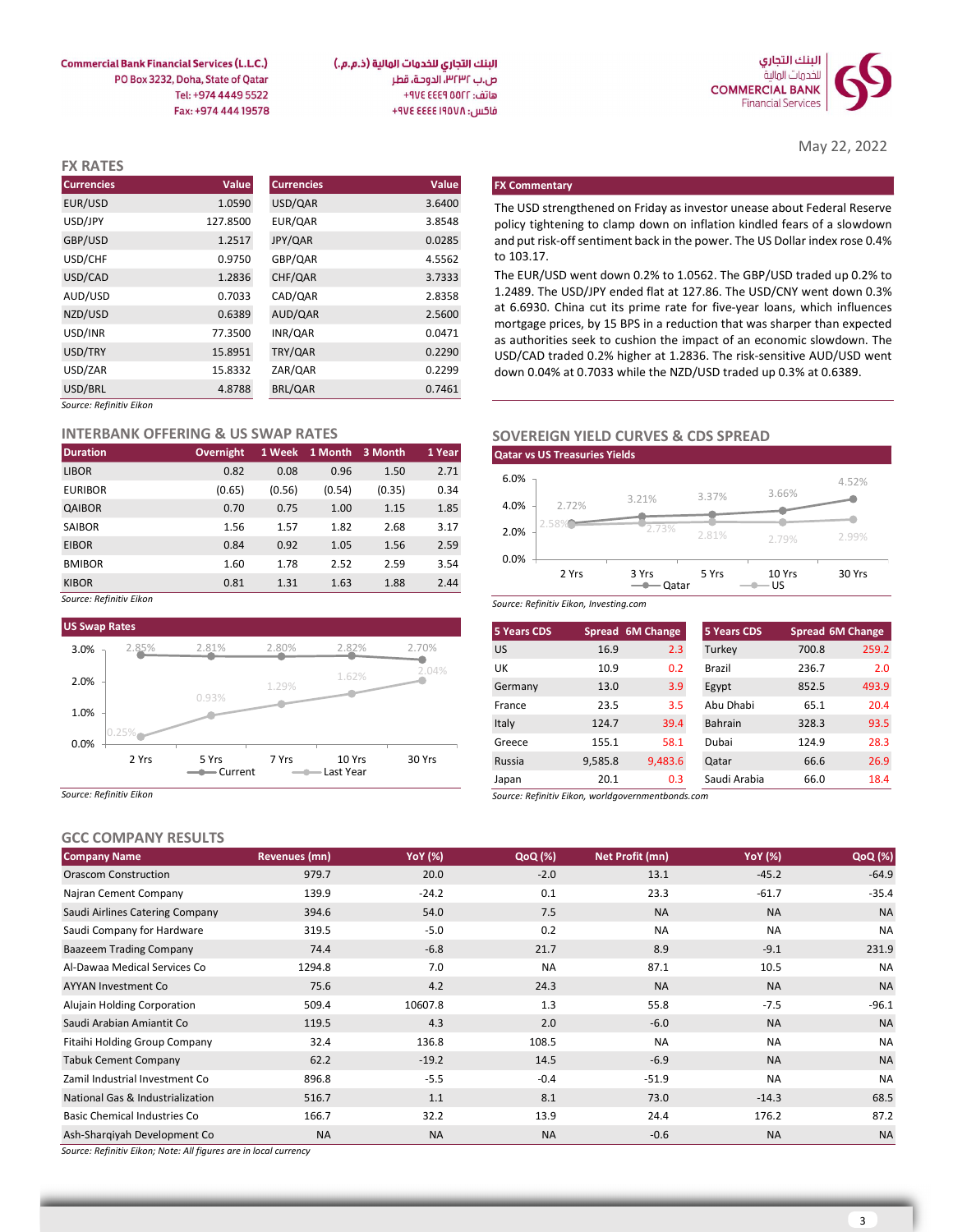

May 22, 2022

البنك التجاري للخدمات المالية (ذ.م.م.) ص.ب ٣٢٣٢، الدوحة، قطر هاتف: ٩٧٤ ٤٤٤٩ ٧٧٤ فاكس: ٩٧٤ ٤٤٤٤ ٤٧٤ +٩٧٤

**Commercial Bank Financial Services (L.L.C.)** PO Box 3232, Doha, State of Qatar Tel: +974 4449 5522 Fax: +974 444 19578

| <b>FX RATES</b>         |          |                   |        |                                                                                                                                                    |
|-------------------------|----------|-------------------|--------|----------------------------------------------------------------------------------------------------------------------------------------------------|
| <b>Currencies</b>       | Value    | <b>Currencies</b> | Value  | <b>FX Commentary</b>                                                                                                                               |
| EUR/USD                 | 1.0590   | USD/QAR           | 3.6400 | The USD strengthened on Friday as investor unease about Federal Reserve                                                                            |
| USD/JPY                 | 127.8500 | EUR/QAR           | 3.8548 | policy tightening to clamp down on inflation kindled fears of a slowdown                                                                           |
| GBP/USD                 | 1.2517   | JPY/QAR           | 0.0285 | and put risk-off sentiment back in the power. The US Dollar index rose 0.4%                                                                        |
| USD/CHF                 | 0.9750   | GBP/QAR           | 4.5562 | to 103.17.                                                                                                                                         |
| USD/CAD                 | 1.2836   | CHF/QAR           | 3.7333 | The EUR/USD went down 0.2% to 1.0562. The GBP/USD traded up 0.2% to                                                                                |
| AUD/USD                 | 0.7033   | CAD/QAR           | 2.8358 | 1.2489. The USD/JPY ended flat at 127.86. The USD/CNY went down 0.3%                                                                               |
| NZD/USD                 | 0.6389   | AUD/QAR           | 2.5600 | at 6.6930. China cut its prime rate for five-year loans, which influences                                                                          |
| USD/INR                 | 77.3500  | INR/QAR           | 0.0471 | mortgage prices, by 15 BPS in a reduction that was sharper than expected<br>as authorities seek to cushion the impact of an economic slowdown. The |
| USD/TRY                 | 15.8951  | TRY/QAR           | 0.2290 | USD/CAD traded 0.2% higher at 1.2836. The risk-sensitive AUD/USD went                                                                              |
| USD/ZAR                 | 15.8332  | ZAR/QAR           | 0.2299 | down 0.04% at 0.7033 while the NZD/USD traded up 0.3% at 0.6389.                                                                                   |
| USD/BRL                 | 4.8788   | BRL/QAR           | 0.7461 |                                                                                                                                                    |
| Source: Refinitiv Eikon |          |                   |        |                                                                                                                                                    |

#### INTERBANK OFFERING & US SWAP RATES

| <b>Duration</b> | <b>Overnight</b> |        | 1 Week 1 Month 3 Month |        | 1 Year |
|-----------------|------------------|--------|------------------------|--------|--------|
| <b>LIBOR</b>    | 0.82             | 0.08   | 0.96                   | 1.50   | 2.71   |
| <b>EURIBOR</b>  | (0.65)           | (0.56) | (0.54)                 | (0.35) | 0.34   |
| QAIBOR          | 0.70             | 0.75   | 1.00                   | 1.15   | 1.85   |
| SAIBOR          | 1.56             | 1.57   | 1.82                   | 2.68   | 3.17   |
| <b>EIBOR</b>    | 0.84             | 0.92   | 1.05                   | 1.56   | 2.59   |
| <b>BMIBOR</b>   | 1.60             | 1.78   | 2.52                   | 2.59   | 3.54   |
| <b>KIBOR</b>    | 0.81             | 1.31   | 1.63                   | 1.88   | 2.44   |

Source: Refinitiv Eikon



Source: Refinitiv Eikon

# GCC COMPANY RESULTS

| UCC COMEANT NEJULIJ                 |               |           |                |                 |                |           |
|-------------------------------------|---------------|-----------|----------------|-----------------|----------------|-----------|
| <b>Company Name</b>                 | Revenues (mn) | YoY (%)   | <b>QoQ</b> (%) | Net Profit (mn) | <b>YoY</b> (%) | QoQ (%)   |
| Orascom Construction                | 979.7         | 20.0      | $-2.0$         | 13.1            | $-45.2$        | $-64.9$   |
| Najran Cement Company               | 139.9         | $-24.2$   | 0.1            | 23.3            | $-61.7$        | $-35.4$   |
| Saudi Airlines Catering Company     | 394.6         | 54.0      | 7.5            | <b>NA</b>       | <b>NA</b>      | <b>NA</b> |
| Saudi Company for Hardware          | 319.5         | $-5.0$    | 0.2            | <b>NA</b>       | <b>NA</b>      | <b>NA</b> |
| <b>Baazeem Trading Company</b>      | 74.4          | $-6.8$    | 21.7           | 8.9             | $-9.1$         | 231.9     |
| Al-Dawaa Medical Services Co        | 1294.8        | 7.0       | <b>NA</b>      | 87.1            | 10.5           | <b>NA</b> |
| <b>AYYAN Investment Co</b>          | 75.6          | 4.2       | 24.3           | <b>NA</b>       | <b>NA</b>      | <b>NA</b> |
| Alujain Holding Corporation         | 509.4         | 10607.8   | 1.3            | 55.8            | $-7.5$         | $-96.1$   |
| Saudi Arabian Amiantit Co           | 119.5         | 4.3       | 2.0            | $-6.0$          | <b>NA</b>      | <b>NA</b> |
| Fitaihi Holding Group Company       | 32.4          | 136.8     | 108.5          | <b>NA</b>       | <b>NA</b>      | <b>NA</b> |
| <b>Tabuk Cement Company</b>         | 62.2          | $-19.2$   | 14.5           | $-6.9$          | <b>NA</b>      | <b>NA</b> |
| Zamil Industrial Investment Co      | 896.8         | $-5.5$    | $-0.4$         | $-51.9$         | <b>NA</b>      | <b>NA</b> |
| National Gas & Industrialization    | 516.7         | 1.1       | 8.1            | 73.0            | $-14.3$        | 68.5      |
| <b>Basic Chemical Industries Co</b> | 166.7         | 32.2      | 13.9           | 24.4            | 176.2          | 87.2      |
| Ash-Sharqiyah Development Co        | <b>NA</b>     | <b>NA</b> | <b>NA</b>      | $-0.6$          | <b>NA</b>      | <b>NA</b> |

Source: Refinitiv Eikon; Note: All figures are in local currency

# SOVEREIGN YIELD CURVES & CDS SPREAD



|                     |                                        |                      | 0707                   |        | 200              |                    | $\Omega$                                          |       | 121                     |                                                                                                                                                 | AP <sub>2</sub> | C A              |
|---------------------|----------------------------------------|----------------------|------------------------|--------|------------------|--------------------|---------------------------------------------------|-------|-------------------------|-------------------------------------------------------------------------------------------------------------------------------------------------|-----------------|------------------|
| me                  |                                        | <b>Revenues (mn)</b> |                        |        | <b>YoY</b> (%)   | QoQ (%)            |                                                   |       | Net Profit (mn)         | <b>YoY</b> (%)                                                                                                                                  |                 | QoQ (%)          |
| <b>PANY RESULTS</b> |                                        |                      |                        |        |                  |                    |                                                   |       |                         |                                                                                                                                                 |                 |                  |
| Eikon               |                                        |                      |                        |        |                  | Japan              | Source: Refinitiv Eikon, worldgovernmentbonds.com |       |                         |                                                                                                                                                 |                 | 18.4             |
| 2 Yrs               |                                        | 7 Yrs                | 10 Yrs<br>- Last Year  |        | 30 Yrs           | Russia             | 9,585.8                                           | 20.1  | 9,483.6<br>0.3          | Qatar<br>Saudi Arabia                                                                                                                           | 66.6<br>66.0    | 26.9             |
|                     | 5 Yrs                                  |                      |                        |        |                  | Greece             |                                                   | 155.1 | 58.1                    | Dubai                                                                                                                                           | 124.9           | 28.3             |
|                     |                                        |                      |                        |        |                  | Italy              |                                                   | 124.7 | 39.4                    | Bahrain                                                                                                                                         | 328.3           | 93.5             |
|                     |                                        |                      |                        |        |                  | France             |                                                   | 23.5  | 3.5                     | Abu Dhabi                                                                                                                                       | 65.1            | 20.4             |
|                     | 0.93%                                  | 1.29%                |                        |        |                  | Germany            |                                                   | 13.0  | 3.9                     | Egypt                                                                                                                                           | 852.5           | 493.9            |
|                     |                                        |                      | 1.62%                  |        | 2.04%            | UK                 |                                                   | 10.9  | 0.2                     | Brazil                                                                                                                                          | 236.7           | 2.0              |
| 2.85%               | 2.81%                                  | 2.80%                | 2.82%                  |        | 2.70%            | <b>US</b>          |                                                   | 16.9  | 2.3                     | Turkey                                                                                                                                          | 700.8           | 259.2            |
| es                  |                                        |                      |                        |        |                  | <b>5 Years CDS</b> |                                                   |       | Spread 6M Change        | 5 Years CDS                                                                                                                                     |                 | Spread 6M Change |
|                     |                                        |                      |                        |        |                  |                    | Source: Refinitiv Eikon, Investing.com            |       |                         |                                                                                                                                                 |                 |                  |
| Eikon               | 0.81                                   | 1.31                 | 1.63                   | 1.88   | 2.44             |                    |                                                   |       | $\longrightarrow Qatar$ | $-$ US                                                                                                                                          |                 |                  |
|                     | 1.60                                   | 1.78                 | 2.52                   | 2.59   | 3.54             |                    | 2 Yrs                                             |       | 3 Yrs                   | 5 Yrs                                                                                                                                           | 10 Yrs          | 30 Yrs           |
|                     | 0.84                                   | 0.92                 | 1.05                   | 1.56   | 2.59             | 0.0%               |                                                   |       |                         |                                                                                                                                                 |                 |                  |
|                     | 1.56                                   | 1.57                 | 1.82                   | 2.68   | 3.17             | 2.0%               |                                                   |       | 2.73%                   | 2.81%                                                                                                                                           | 2.79%           | 2.99%            |
|                     | 0.70                                   | 0.75                 | 1.00                   | 1.15   | 1.85             | 4.0%               | 2.72%                                             |       |                         |                                                                                                                                                 |                 |                  |
|                     | (0.65)                                 | (0.56)               | (0.54)                 | (0.35) | 0.34             | 6.0%               |                                                   |       | 3.21%                   | 3.37%                                                                                                                                           | 3.66%           | 4.52%            |
|                     | 0.82                                   | 0.08                 | 0.96                   | 1.50   | 2.71             |                    |                                                   |       |                         |                                                                                                                                                 |                 |                  |
|                     | <b>Overnight</b>                       |                      | 1 Week 1 Month 3 Month |        | 1 Year           |                    | <b>Qatar vs US Treasuries Yields</b>              |       |                         |                                                                                                                                                 |                 |                  |
|                     | <b>IK OFFERING &amp; US SWAP RATES</b> |                      |                        |        |                  |                    |                                                   |       |                         | <b>SOVEREIGN YIELD CURVES &amp; CDS SPREAD</b>                                                                                                  |                 |                  |
| Gikon               |                                        |                      |                        |        |                  |                    |                                                   |       |                         |                                                                                                                                                 |                 |                  |
|                     | 4.8788                                 | BRL/QAR              |                        |        | 0.7461           |                    |                                                   |       |                         |                                                                                                                                                 |                 |                  |
|                     | 15.8332                                | ZAR/QAR              |                        |        | 0.2299           |                    |                                                   |       |                         | down 0.04% at 0.7033 while the NZD/USD traded up 0.3% at 0.6389.                                                                                |                 |                  |
|                     | 15.8951                                | TRY/QAR              |                        |        | 0.2290           |                    |                                                   |       |                         | as authorities seek to cushion the impact of an economic slowdown. The<br>USD/CAD traded 0.2% higher at 1.2836. The risk-sensitive AUD/USD went |                 |                  |
|                     | 77.3500                                | INR/QAR              |                        |        | 0.0471           |                    |                                                   |       |                         | mortgage prices, by 15 BPS in a reduction that was sharper than expected                                                                        |                 |                  |
|                     | 0.6389                                 | AUD/QAR              |                        |        | 2.5600           |                    |                                                   |       |                         | at 6.6930. China cut its prime rate for five-year loans, which influences                                                                       |                 |                  |
|                     | 0.7033                                 | CAD/QAR              |                        |        | 2.8358           |                    |                                                   |       |                         | 1.2489. The USD/JPY ended flat at 127.86. The USD/CNY went down 0.3%                                                                            |                 |                  |
|                     | 0.9750<br>1.2836                       | GBP/QAR<br>CHF/QAR   |                        |        | 4.5562<br>3.7333 | to 103.17.         |                                                   |       |                         | The EUR/USD went down 0.2% to 1.0562. The GBP/USD traded up 0.2% to                                                                             |                 |                  |
|                     |                                        |                      |                        |        |                  |                    |                                                   |       |                         |                                                                                                                                                 |                 |                  |